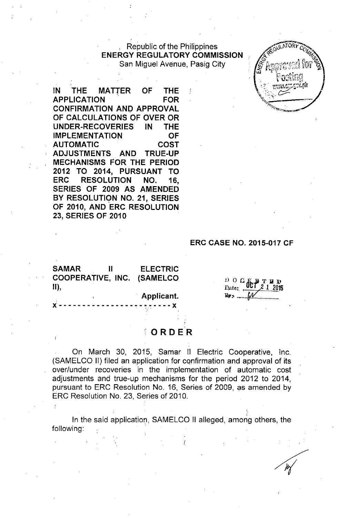Republic of the Philippines ENERGY REGULATORY COMMISSION San Miguel Avenue, Pasig City



IN THE MATTER OF THE APPLICATION FOR CONFIRMATION AND APPROVAL OF CALCULATIONS OF OVER OR UNDER-RECOVERIES IN THE IMPLEMENTATION OF AUTOMATIC COST ADJUSTMENTS AND TRUE-UP **MECHANISMS FOR THE PERIOD** 2012 TO 2014, PURSUANT TO ERC RESOLUTION NO. 16, SERIES OF 2009 AS AMENDED BY RESOLUTIQN NO. 21, SERIES OF 2010, AND ERC RESOLUTION 23, SERIES OF 2010

#### ERC CASE NO. 2015-017 CF

SAMAR II COOPERATIVE, INC. (SAMELCO II), ELECTRIC

Applicant.

 $D$ ,  $D$ ,  $G$ ,  $G$ ,  $H$ ,  $T$ ,  $B$ ,  $D$ 

**x** -------------------------

# **o RD ER**

On March 30, 2015, Samar II Electric Cooperative, Inc. (SAMELCO II) filed an application for confirmation and approval of its over/under recoveries in the implementation of automatic cost adjustments and true-up mechanisms for the period 2012 to 2014, pursuant to ERC Resolution No. 16, Series of 2009, as amended by ERC Resolution No. 23, Series of 2010.

In the said application, SAMELCO II alleged, among others, the following: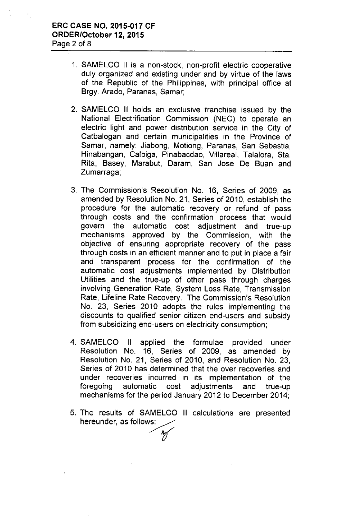- 1. SAMELCO II is a non-stock, non-profit electric cooperative duly organized and existing under and by virtue of the laws of the Republic of the Philippines, with principal office at Brgy. Arado, Paranas, Samar;
- 2. SAMELCO II holds an exclusive franchise issued by the National Electrification Commission (NEC) to operate an electric light and power distribution service in the City of Catbalogan and certain municipalities in the Province of Samar, namely: Jiabong, Motiong, Paranas, San Sebastia, Hinabangan, Calbiga, Pinabacdao, Villareal, Talalora, Sta. Rita, Basey, Marabut, Daram, San Jose De Buan and Zumarraga;
- 3. The Commission's Resolution No. 16, Series of 2009, as amended by Resolution No. 21, Series of 2010, establish the procedure for the automatic recovery or refund of pass through costs and the confirmation process that would govern the automatic cost adjustment and true-up mechanisms approved by the Commission, with the objective of ensuring appropriate recovery of the pass through costs in an efficient manner and to put in place a fair and transparent process for the confirmation of the automatic cost adjustments implemented by Distribution Utilities and the true-up of other pass through charges involving Generation Rate, System Loss Rate, Transmission Rate, Lifeline Rate Recovery. The Commission's Resolution No. 23, Series 2010 adopts the rules implementing the discounts to qualified senior citizen end-users and subsidy from subsidizing end-users on electricity consumption;
- 4. SAMELCO II applied the formulae provided under Resolution No. 16, Series of 2009, as amended by Resolution No. 21, Series of 2010, and Resolution No. 23, Series of 2010 has determined that the over recoveries and under recoveries incurred in its implementation of the foregoing automatic cost adjustments and true-up mechanisms for the period January 2012 to December 2014;
- 5. The results of SAMELCO II calculations are presented hereunder, as follows:

'ff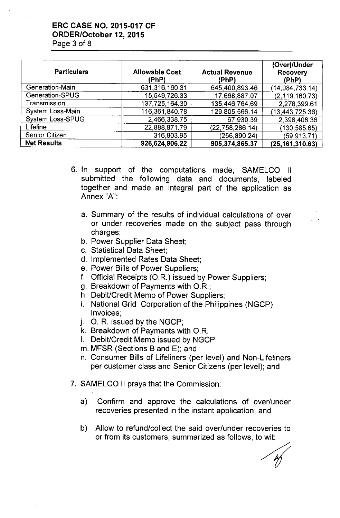# ERC CASE NO. 2015-017 CF ORDER/October 12,2015 Page 3 of 8

| <b>Particulars</b>    | <b>Allowable Cost</b><br>(PhP) | <b>Actual Revenue</b><br>(PhP) | (Over)/Under<br><b>Recovery</b><br>(PhP) |
|-----------------------|--------------------------------|--------------------------------|------------------------------------------|
| Generation-Main       | 631,316,160.31                 | 645,400,893.46                 | (14, 084, 733.14)                        |
| Generation-SPUG       | 15,549,726.33                  | 17.668,887.07                  | (2, 119, 160.73)                         |
| Transmission          | 137,725,164.30                 | 135 446,764 69                 | 2,278,399.61                             |
| System Loss-Main      | 116,361,840.78                 | 129,805,566.14                 | (13, 443, 725.36)                        |
| System Loss-SPUG      | 2,466,338.75                   | 67,930.39                      | 2,398,408.36                             |
| Lifeline              | 22,888,871.79                  | (22, 758, 286, 14)             | (130, 585.65)                            |
| <b>Senior Citizen</b> | 316,803.95                     | (256.890.24)                   | (59, 913, 71)                            |
| <b>Net Results</b>    | 926,624,906.22                 | 905,374,865.37                 | (25, 161, 310.63)                        |

- 6. In support of the computations made, SAMELCO II submitted the following data and documents, labeled together and made an integral part of the application as Annex "A":
	- a. Summary of the results of individual calculations of over or under recoveries made on the subject pass through charges;
	- b. Power Supplier Data Sheet;
	- c. Statistical Data Sheet;
	- d. Implemented Rates Data Sheet;
	- e. Power Bills of Power Suppliers;
	- f. Official Receipts *(OR.)* issued by Power Suppliers;
	- g. Breakdown of Payments with *OR.;*
	- h. Debit/Credit Memo of Power Suppliers;
	- i. National Grid Corporation of the Philippines (NGCP) Invoices;
	- J. O. R. issued by the NGCP;
	- k. Breakdown of Payments with *OR.*
	- I. Debit/Credit Memo issued by NGCP
	- m. MFSR (Sections B and E); and
	- n. Consumer Bills of Lifeliners (per level) and Non-Lifeliners per customer class and Senior Citizens (per level); and
- 7. SAMELCO II prays that the Commission:
	- a) Confirm and approve the calculations of over/under recoveries presented in the instant application; and
	- b) Allow to refund/collect the said over/under recoveries to or from its customers, summarized as follows, to wit:

veries to<br>wit: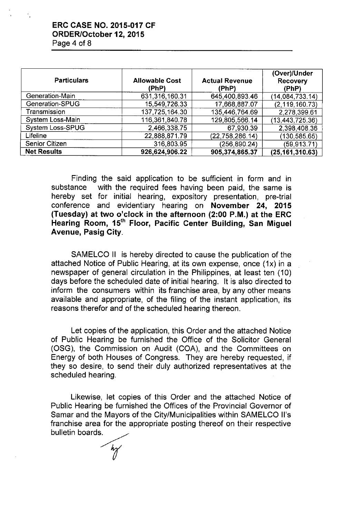### ERC CASE NO. 2015-017 CF ORDER/October 12, 2015 Page 4 of 8

| <b>Particulars</b>      | <b>Allowable Cost</b><br>(PhP) | <b>Actual Revenue</b><br>(PhP) | (Over)/Under<br><b>Recovery</b><br>(PhP) |
|-------------------------|--------------------------------|--------------------------------|------------------------------------------|
| Generation-Main         | 631,316,160.31                 | 645 400 893 46                 | (14,084,733.14)                          |
| Generation-SPUG         | 15,549,726.33                  | 17,668,887.07                  | (2, 119, 160, 73)                        |
| Transmission            | 137,725,164.30                 | 135,446,764.69                 | 2,278,399.61                             |
| System Loss-Main        | 116,361,840.78                 | 129,805,566.14                 | (13, 443, 725.36)                        |
| <b>System Loss-SPUG</b> | 2,466,338.75                   | 67,930.39                      | 2,398,408.36                             |
| <b>Lifeline</b>         | 22.888,871.79                  | (22,758,286.14)                | (130, 585.65)                            |
| <b>Senior Citizen</b>   | 316,803.95                     | (256, 890.24)                  | (59, 913.71)                             |
| <b>Net Results</b>      | 926,624,906.22                 | 905,374,865.37                 | (25, 161, 310.63)                        |

Finding the said application to be sufficient in form and in substance with the required fees having been paid, the same is hereby set for initial hearing, expository presentation, pre-trial conference and evidentiary hearing on November 24, 2015 (Tuesday) at two o'clock in the afternoon (2:00 P.M.) at the ERC Hearing Room, 15<sup>th</sup> Floor, Pacific Center Building, San Miquel Avenue, Pasig City.

SAMELCO II is hereby directed to cause the publication of the attached Notice of Public Hearing, at its own expense, once (1x) in a newspaper of general circulation in the Philippines, at least ten (10) days before the scheduled date of initial hearing. It is also directed to inform the consumers within its franchise area, by any other means available and appropriate, of the filing of the instant application, its reasons therefor and of the scheduled hearing thereon.

Let copies of the application, this Order and the attached Notice of Public Hearing be furnished the Office of the Solicitor General (OSG), the Commission on Audit (COA), and the Committees on Energy of both Houses of Congress. They are hereby requested, if they so desire, to send their duly authorized representatives at the scheduled hearing.

Likewise, let copies of this Order and the attached Notice of Public Hearing be furnished the Offices of the Provincial Governor of Samar and the Mayors of the City/Municipalities within SAMELCO II's franchise area for the appropriate posting thereof on their respective bulletin boards.

*r*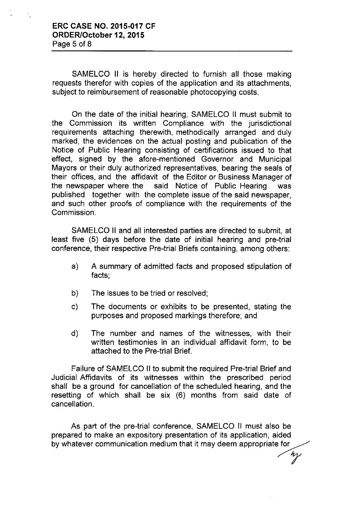SAMELCO II is hereby directed to furnish all those making requests therefor with copies of the application and its attachments, subject to reimbursement of reasonable photocopying costs.

On the date of the initial hearing, SAMELCO II must submit to the Commission its written Compliance with the jurisdictional requirements attaching therewith, methodically arranged and duly marked, the evidences on the actual posting and publication of the Notice of Public Hearing consisting of certifications issued to that effect, signed by the afore-mentioned Governor and Municipal Mayors or their duly authorized representatives, bearing the seals of their offices, and the affidavit of the Editor or Business Manager of the newspaper where the said Notice of Public Hearing was published together with the complete issue of the said newspaper, and such other proofs of compliance with the requirements of the Commission.

SAMELCO II and all interested parties are directed to submit, at least five (5) days before the date of initial hearing and pre-trial conference, their respective Pre-trial Briefs containing, among others:

- a) A summary of admitted facts and proposed stipulation of facts;
- b) The issues to be tried or resolved;
- c) The documents or exhibits to be presented, stating the purposes and proposed markings therefore; and
- d) The number and names of the witnesses, with their written testimonies in an individual affidavit form, to be attached to the Pre-trial Brief.

Failure of SAMELCO II to submit the required Pre-trial Brief and Judicial Affidavits of its witnesses within the prescribed period shall be a ground for cancellation of the scheduled hearing, and the resetting of which shall be six (6) months from said date of cancellation.

As part of the pre-trial conference, SAMELCO II must also be prepared to make an expository presentation of its application, aided by whatever communication medium that it may deem appropriate for

~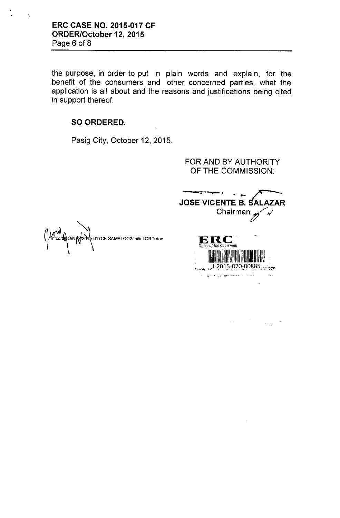# **ERC CASE NO. 2015-017 CF** ORDER/October 12, 2015 Page 6 of 8

 $\frac{4}{3}$ 

the purpose, in order to put in plain words and explain, for the benefit of the consumers and other concerned parties, what the application is all about and the reasons and justifications being cited in support thereof.

# SO ORDERED.

Pasig City, October 12, 2015.

FOR AND BY AUTHORITY OF THE COMMISSION:

**JOSE VICENTE B. SALAZAR** Chairman  $\nu$ 

TERRA PERTEN  $1-2015-020-00885$ in<br>1980 - Jacob Alexandria, frantziar eta erromatiko eta erregea eta erregea eta erregea eta erregea eta erregea

 $\sim$ 

 $\label{eq:2.1} \frac{1}{\sqrt{2}}\int_{\mathbb{R}^3}\frac{1}{\sqrt{2}}\left(\frac{1}{\sqrt{2}}\right)^2\frac{1}{\sqrt{2}}\left(\frac{1}{\sqrt{2}}\right)^2\frac{1}{\sqrt{2}}\left(\frac{1}{\sqrt{2}}\right)^2\frac{1}{\sqrt{2}}\left(\frac{1}{\sqrt{2}}\right)^2\frac{1}{\sqrt{2}}\left(\frac{1}{\sqrt{2}}\right)^2\frac{1}{\sqrt{2}}\frac{1}{\sqrt{2}}\frac{1}{\sqrt{2}}\frac{1}{\sqrt{2}}\frac{1}{\sqrt{2}}\frac{1}{\sqrt{2}}$ 

 $\hat{\mathcal{A}}$ 

**ERC**<br>Office of the Chairman

MW<br>Mitco/Co/N/C/2016-017CF.SAMELCO2/initial ORD.doc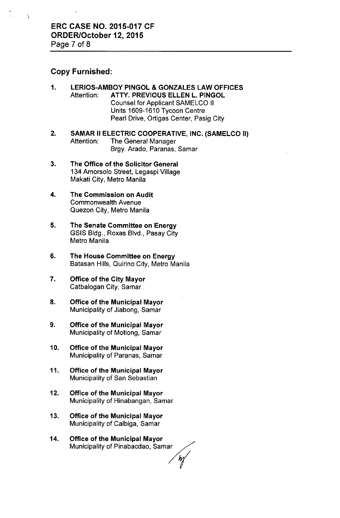# Copy Furnished:

ŕ,

- 1. LERIOS-AMBOY PINGOL & GONZALES LAW OFFICES Attention: ATTY. PREVIOUS ELLEN L. PINGOL Counsel for Applicant SAMELCO II Units 1609-1610 Tycoon Centre Pearl Drive, Ortigas Center, Pasig City
- 2. SAMAR II ELECTRIC COOPERATIVE, INC. (SAMELCO II) Attention: The General Manager Brgy. Arado, Paranas, Samar
- 3. The Office of the Solicitor General 134 Amorsolo Street, Legaspi Village Makati City, Metro Manila
- 4. The Commission on Audit Commonwealth Avenue Quezon City, Metro Manila
- 5. The Senate Committee on Energy GSIS Bldg., Roxas Blvd., Pasay City Metro Manila
- 6. The House Committee on Energy Batasan Hills, Quirino City, Metro Manila
- 7. Office of the City Mayor Catbalogan City, Samar
- 8. Office of the Municipal Mayor Municipality of Jiabong, Samar
- 9. Office of the Municipal Mayor Municipality of Motiong, Samar
- 10. Office of the Municipal Mayor Municipality of Paranas, Samar
- 11. Office of the Municipal Mayor Municipality of San Sebastian
- 12. Office of the Municipal Mayor Municipality of Hinabangan, Samar
- 13. Office of the Municipal Mayor Municipality of Calbiga, Samar
- 14. Office of the Municipal Mayor **Office of the Municipal Mayor**<br>Municipality of Calbiga, Samar<br>**Office of the Municipal Mayor**<br>Municipality of Pinabacdao, Samar